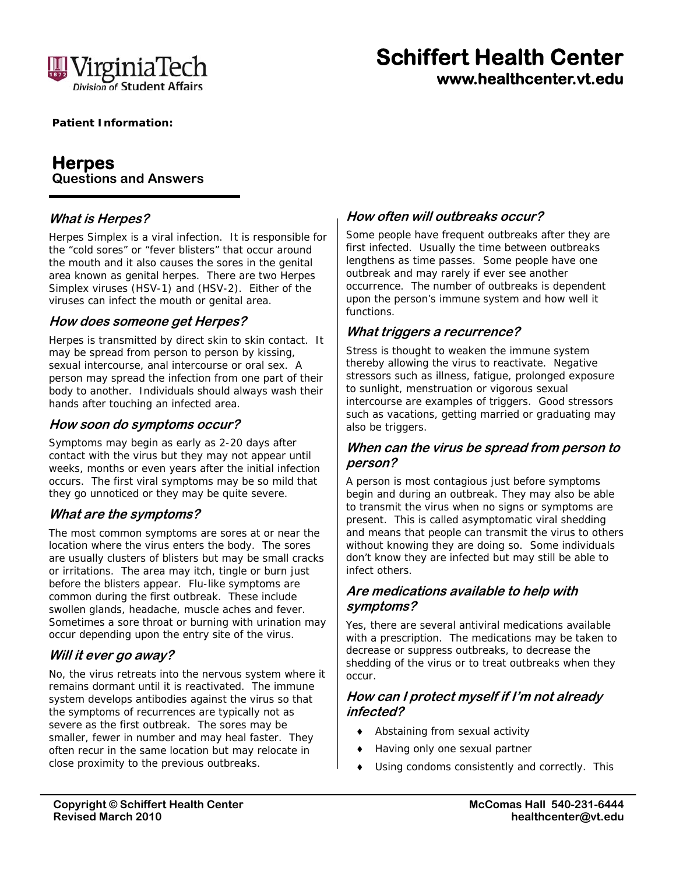

# **Schiffert Health Center www.healthcenter.vt.edu**

 **Patient Information:** 

# **Herpes Questions and Answers**

# **What is Herpes?**

Herpes Simplex is a viral infection. It is responsible for the "cold sores" or "fever blisters" that occur around the mouth and it also causes the sores in the genital area known as genital herpes. There are two Herpes Simplex viruses (HSV-1) and (HSV-2). Either of the viruses can infect the mouth or genital area.

## **How does someone get Herpes?**

Herpes is transmitted by direct skin to skin contact. It may be spread from person to person by kissing, sexual intercourse, anal intercourse or oral sex. A person may spread the infection from one part of their body to another. Individuals should always wash their hands after touching an infected area.

#### **How soon do symptoms occur?**

Symptoms may begin as early as 2-20 days after contact with the virus but they may not appear until weeks, months or even years after the initial infection occurs. The first viral symptoms may be so mild that they go unnoticed or they may be quite severe.

## **What are the symptoms?**

The most common symptoms are sores at or near the location where the virus enters the body. The sores are usually clusters of blisters but may be small cracks or irritations. The area may itch, tingle or burn just before the blisters appear. Flu-like symptoms are common during the first outbreak. These include swollen glands, headache, muscle aches and fever. Sometimes a sore throat or burning with urination may occur depending upon the entry site of the virus.

## **Will it ever go away?**

No, the virus retreats into the nervous system where it remains dormant until it is reactivated. The immune system develops antibodies against the virus so that the symptoms of recurrences are typically not as severe as the first outbreak. The sores may be smaller, fewer in number and may heal faster. They often recur in the same location but may relocate in close proximity to the previous outbreaks.

## **How often will outbreaks occur?**

Some people have frequent outbreaks after they are first infected. Usually the time between outbreaks lengthens as time passes. Some people have one outbreak and may rarely if ever see another occurrence. The number of outbreaks is dependent upon the person's immune system and how well it functions.

## **What triggers a recurrence?**

Stress is thought to weaken the immune system thereby allowing the virus to reactivate. Negative stressors such as illness, fatigue, prolonged exposure to sunlight, menstruation or vigorous sexual intercourse are examples of triggers. Good stressors such as vacations, getting married or graduating may also be triggers.

#### **When can the virus be spread from person to person?**

A person is most contagious just before symptoms begin and during an outbreak. They may also be able to transmit the virus when no signs or symptoms are present. This is called asymptomatic viral shedding and means that people can transmit the virus to others without knowing they are doing so. Some individuals don't know they are infected but may still be able to infect others.

#### **Are medications available to help with symptoms?**

Yes, there are several antiviral medications available with a prescription. The medications may be taken to decrease or suppress outbreaks, to decrease the shedding of the virus or to treat outbreaks when they occur.

## **How can I protect myself if I'm not already infected?**

- Abstaining from sexual activity
- Having only one sexual partner
- Using condoms consistently and correctly. This